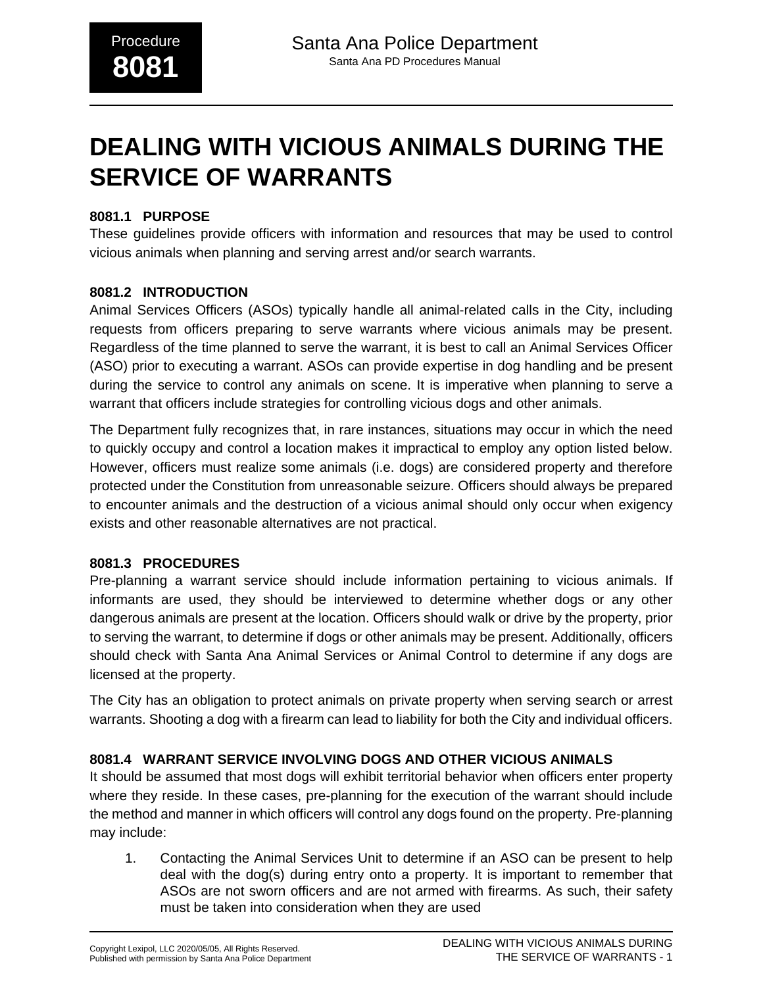# **DEALING WITH VICIOUS ANIMALS DURING THE SERVICE OF WARRANTS**

## **8081.1 PURPOSE**

These guidelines provide officers with information and resources that may be used to control vicious animals when planning and serving arrest and/or search warrants.

#### **8081.2 INTRODUCTION**

Animal Services Officers (ASOs) typically handle all animal-related calls in the City, including requests from officers preparing to serve warrants where vicious animals may be present. Regardless of the time planned to serve the warrant, it is best to call an Animal Services Officer (ASO) prior to executing a warrant. ASOs can provide expertise in dog handling and be present during the service to control any animals on scene. It is imperative when planning to serve a warrant that officers include strategies for controlling vicious dogs and other animals.

The Department fully recognizes that, in rare instances, situations may occur in which the need to quickly occupy and control a location makes it impractical to employ any option listed below. However, officers must realize some animals (i.e. dogs) are considered property and therefore protected under the Constitution from unreasonable seizure. Officers should always be prepared to encounter animals and the destruction of a vicious animal should only occur when exigency exists and other reasonable alternatives are not practical.

#### **8081.3 PROCEDURES**

Pre-planning a warrant service should include information pertaining to vicious animals. If informants are used, they should be interviewed to determine whether dogs or any other dangerous animals are present at the location. Officers should walk or drive by the property, prior to serving the warrant, to determine if dogs or other animals may be present. Additionally, officers should check with Santa Ana Animal Services or Animal Control to determine if any dogs are licensed at the property.

The City has an obligation to protect animals on private property when serving search or arrest warrants. Shooting a dog with a firearm can lead to liability for both the City and individual officers.

## **8081.4 WARRANT SERVICE INVOLVING DOGS AND OTHER VICIOUS ANIMALS**

It should be assumed that most dogs will exhibit territorial behavior when officers enter property where they reside. In these cases, pre-planning for the execution of the warrant should include the method and manner in which officers will control any dogs found on the property. Pre-planning may include:

1. Contacting the Animal Services Unit to determine if an ASO can be present to help deal with the dog(s) during entry onto a property. It is important to remember that ASOs are not sworn officers and are not armed with firearms. As such, their safety must be taken into consideration when they are used